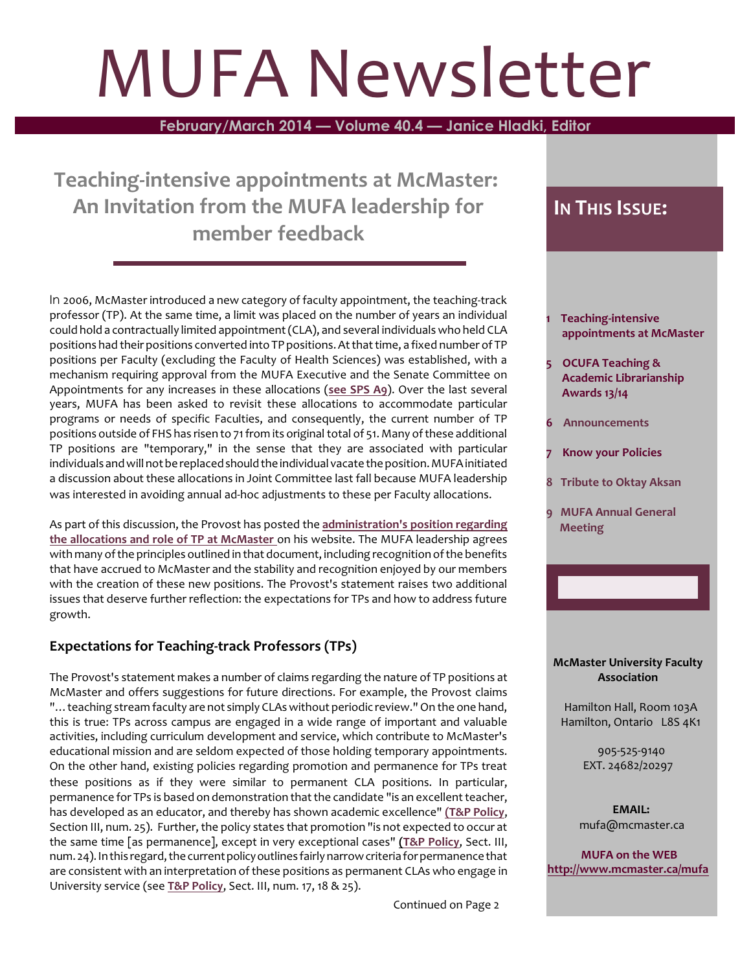# MUFA Newsletter

**February/March 2014 — Volume 40.4 — Janice Hladki, Editor**

**Teaching-intensive appointments at McMaster: An Invitation from the MUFA leadership for member feedback**

In 2006, McMaster introduced a new category of faculty appointment, the teaching-track professor (TP). At the same time, a limit was placed on the number of years an individual could hold a contractually limited appointment (CLA), and several individuals who held CLA positions had their positions converted into TP positions. At that time, a fixed number of TP positions per Faculty (excluding the Faculty of Health Sciences) was established, with a mechanism requiring approval from the MUFA Executive and the Senate Committee on Appointments for any increases in these allocations (**see [SPS A9](http://www.mcmaster.ca/policy/faculty/Appointments/SPS_A9-Allocation-Teaching-StreamFaculty.pdf)**). Over the last several years, MUFA has been asked to revisit these allocations to accommodate particular programs or needs of specific Faculties, and consequently, the current number of TP positions outside of FHS has risen to 71 from its original total of 51. Many of these additional TP positions are "temporary," in the sense that they are associated with particular individuals and will not bereplacedshould theindividual vacate theposition. MUFA initiated a discussion about these allocations in Joint Committee last fall because MUFA leadership was interested in avoiding annual ad-hoc adjustments to these per Faculty allocations.

As part of this discussion, the Provost has posted the **[administration's position regarding](http://www.mcmaster.ca/vpacademic/documents/Teaching%20Stream%20Appointments%20at%20McMaster.pdf) the [allocations and role](http://www.mcmaster.ca/vpacademic/documents/Teaching%20Stream%20Appointments%20at%20McMaster.pdf) of TP at McMaster** on his website. The MUFA leadership agrees with many of the principles outlined in that document, including recognition of the benefits that have accrued to McMaster and the stability and recognition enjoyed by our members with the creation of these new positions. The Provost's statement raises two additional issues that deserve further reflection: the expectations for TPs and how to address future growth.

# **Expectations for Teaching-track Professors (TPs)**

The Provost's statement makes a number of claims regarding the nature of TP positions at McMaster and offers suggestions for future directions. For example, the Provost claims "... teaching stream faculty are not simply CLAs without periodic review." On the one hand, this is true: TPs across campus are engaged in a wide range of important and valuable activities, including curriculum development and service, which contribute to McMaster's educational mission and are seldom expected of those holding temporary appointments. On the other hand, existing policies regarding promotion and permanence for TPs treat these positions as if they were similar to permanent CLA positions. In particular, permanence for TPs is based on demonstration that the candidate "is an excellent teacher, has developed as an educator, and thereby has shown academic excellence" **[\(T&P Policy](http://www.mcmaster.ca/policy/faculty/Appointments/Tenure_and_Promotion_January%202012.pdf)**, Section III, num. 25). Further, the policy states that promotion "is not expected to occur at the same time [as permanence], except in very exceptional cases" **[\(T&P Policy](http://www.mcmaster.ca/policy/faculty/Appointments/Tenure_and_Promotion_January%202012.pdf)**, Sect. III, num. 24). In this regard, the current policy outlines fairly narrow criteria for permanence that are consistent with an interpretation of these positions as permanent CLAs who engage in University service (see **[T&P Policy](http://www.mcmaster.ca/policy/faculty/Appointments/Tenure_and_Promotion_January%202012.pdf)**, Sect. III, num. 17, 18 & 25).

# **IN THIS ISSUE:**

- **1 Teaching-intensive appointments at McMaster**
- **5 OCUFA Teaching & Academic Librarianship Awards 13/14**
- **6 Announcements**
- **7 Know your Policies**
- **8 Tribute to Oktay Aksan**
- **9 MUFA Annual General Meeting**

#### **McMaster University Faculty Association**

 Hamilton Hall, Room 103A Hamilton, Ontario L8S 4K1

> 905-525-9140 EXT. 24682/20297

 **EMAIL:** mufa@mcmaster.ca

**MUFA on the WEB <http://www.mcmaster.ca/mufa>**

Continued on Page 2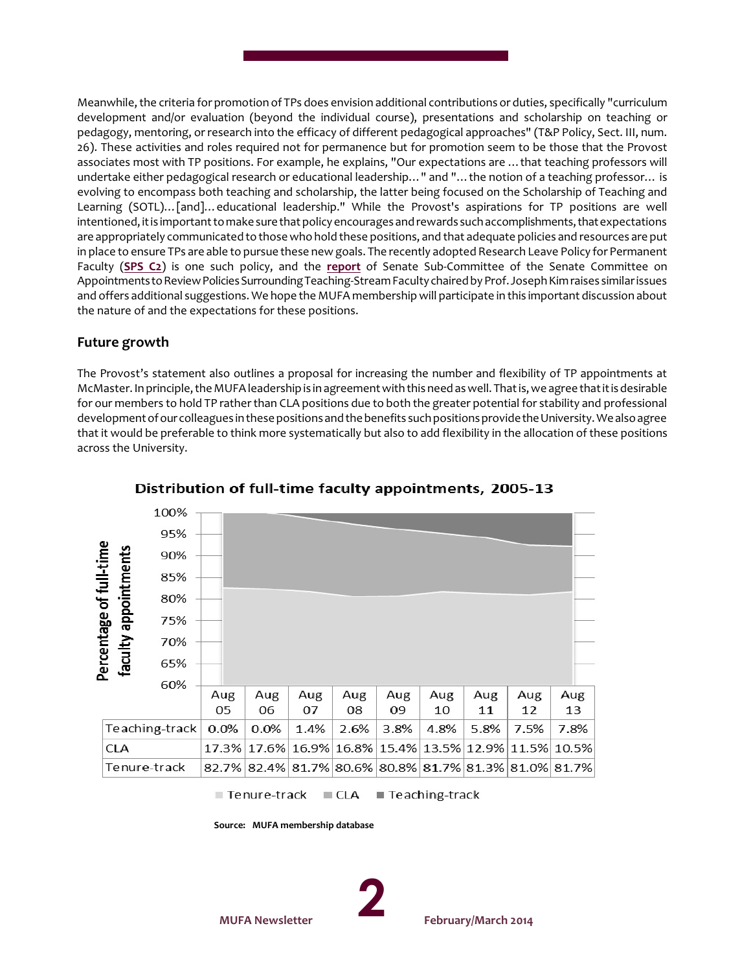Meanwhile, the criteria for promotion of TPs does envision additional contributions or duties, specifically "curriculum development and/or evaluation (beyond the individual course), presentations and scholarship on teaching or pedagogy, mentoring, or research into the efficacy of different pedagogical approaches" (T&P Policy, Sect. III, num. 26). These activities and roles required not for permanence but for promotion seem to be those that the Provost associates most with TP positions. For example, he explains, "Our expectations are …that teaching professors will undertake either pedagogical research or educational leadership…" and "…the notion of a teaching professor… is evolving to encompass both teaching and scholarship, the latter being focused on the Scholarship of Teaching and Learning (SOTL)…[and]…educational leadership." While the Provost's aspirations for TP positions are well intentioned, it is important to make sure that policy encourages and rewards such accomplishments, that expectations are appropriately communicated to thosewho hold these positions, and that adequate policies and resources are put in place to ensure TPs are able to pursue these new goals. The recently adopted Research Leave Policy for Permanent Faculty (**[SPS C2](http://www.mcmaster.ca/policy/faculty/Leaves/SPS_C2-Research_Leave-Permanent_Faculty.pdf)**) is one such policy, and the **[report](http://www.mcmaster.ca/vpacademic/documents/2014%20Teaching-Stream%20Faculty%20Committee%20report.pdf)** of Senate Sub-Committee of the Senate Committee on Appointments to Review Policies Surrounding Teaching-Stream Faculty chaired by Prof. Joseph Kim raises similar issues and offers additional suggestions. We hope the MUFA membership will participate in this important discussion about the nature of and the expectations for these positions.

#### **Future growth**

The Provost's statement also outlines a proposal for increasing the number and flexibility of TP appointments at McMaster. In principle, theMUFA leadership is in agreement with this need as well. That is, we agree that it is desirable for our members to hold TP rather than CLA positions due to both the greater potential for stability and professional development of our colleagues in these positions and the benefits such positions provide the University. We also agree that it would be preferable to think more systematically but also to add flexibility in the allocation of these positions across the University.



Distribution of full-time faculty appointments, 2005-13

Tenure-track  $CLA$ ■ Teaching-track

 **Source: MUFA membership database**

**MUFA Newsletter** 

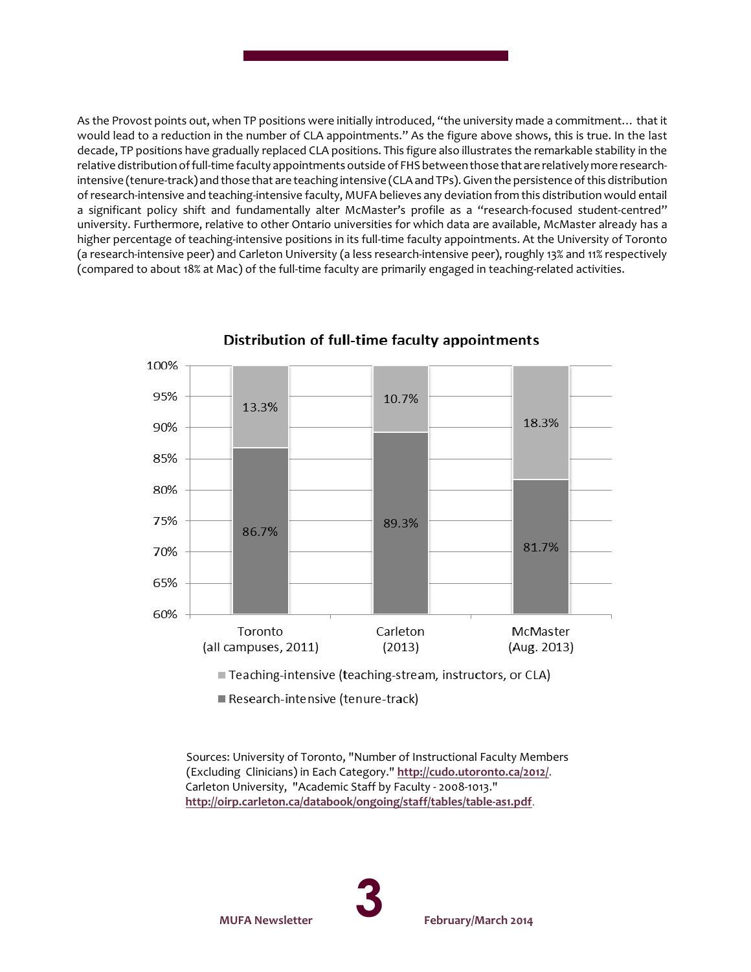As the Provost points out, when TP positions were initially introduced, "the university made a commitment… that it would lead to a reduction in the number of CLA appointments." As the figure above shows, this is true. In the last decade, TP positions have gradually replaced CLA positions. This figure also illustrates the remarkable stability in the relative distribution of full-time faculty appointments outside of FHS betweenthose that are relatively more researchintensive (tenure-track) and those that are teaching intensive (CLA and TPs). Given the persistence of this distribution of research-intensive and teaching-intensive faculty, MUFA believes any deviation from this distribution would entail a significant policy shift and fundamentally alter McMaster's profile as a "research-focused student-centred" university. Furthermore, relative to other Ontario universities for which data are available, McMaster already has a higher percentage of teaching-intensive positions in its full-time faculty appointments. At the University of Toronto (a research-intensive peer) and Carleton University (a less research-intensive peer), roughly 13% and 11% respectively (compared to about 18% at Mac) of the full-time faculty are primarily engaged in teaching-related activities.



Distribution of full-time faculty appointments

Teaching-intensive (teaching-stream, instructors, or CLA)

Research-intensive (tenure-track)

 Sources: University of Toronto, "Number of Instructional Faculty Members (Excluding Clinicians) in Each Category." **<http://cudo.utoronto.ca/2012/>**. Carleton University, "Academic Staff by Faculty - 2008-1013." **<http://oirp.carleton.ca/databook/ongoing/staff/tables/table-as1.pdf>**.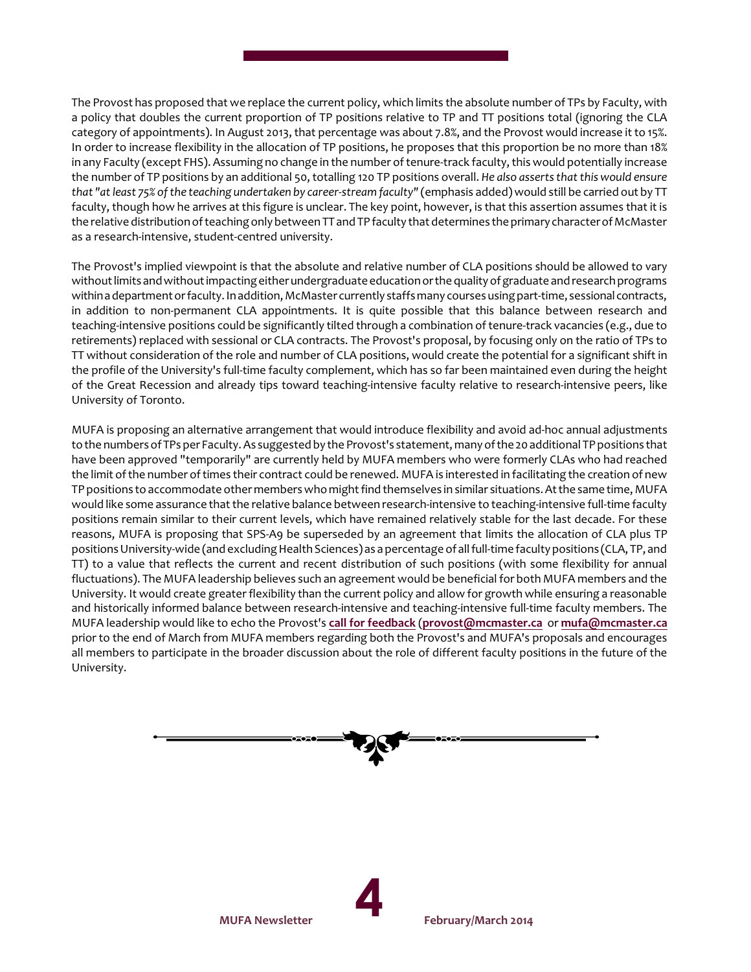The Provost has proposed that we replace the current policy, which limits the absolute number of TPs by Faculty, with a policy that doubles the current proportion of TP positions relative to TP and TT positions total (ignoring the CLA category of appointments). In August 2013, that percentage was about 7.8%, and the Provost would increase it to 15%. In order to increase flexibility in the allocation of TP positions, he proposes that this proportion be no more than 18% in any Faculty (except FHS). Assuming no change in the number of tenure-track faculty, this would potentially increase the number of TP positions by an additional 50, totalling 120 TP positions overall. *He also assertsthat this would ensure that "at least 75% of the teaching undertaken by career-stream faculty"* (emphasis added) would still be carried out by TT faculty, though how he arrives at this figure is unclear. The key point, however, is that this assertion assumes that it is the relative distribution of teaching only between TT and TP faculty that determines theprimary characterof McMaster as a research-intensive, student-centred university.

The Provost's implied viewpoint is that the absolute and relative number of CLA positions should be allowed to vary without limits and without impacting either undergraduate education or the quality of graduate and research programs within a department or faculty. In addition, McMaster currently staffs many courses using part-time, sessional contracts, in addition to non-permanent CLA appointments. It is quite possible that this balance between research and teaching-intensive positions could be significantly tilted through a combination of tenure-track vacancies (e.g., due to retirements) replaced with sessional or CLA contracts. The Provost's proposal, by focusing only on the ratio of TPs to TT without consideration of the role and number of CLA positions, would create the potential for a significant shift in the profile of the University's full-time faculty complement, which has so far been maintained even during the height of the Great Recession and already tips toward teaching-intensive faculty relative to research-intensive peers, like University of Toronto.

MUFA is proposing an alternative arrangement that would introduce flexibility and avoid ad-hoc annual adjustments to the numbers of TPs per Faculty. As suggested by the Provost's statement, many of the 20 additional TP positions that have been approved "temporarily" are currently held by MUFA members who were formerly CLAs who had reached the limit of the number of times their contract could be renewed. MUFA is interested in facilitating the creation of new TP positions to accommodate other members who might find themselves in similar situations. At the same time, MUFA would like some assurance that the relative balance between research-intensive to teaching-intensive full-time faculty positions remain similar to their current levels, which have remained relatively stable for the last decade. For these reasons, MUFA is proposing that SPS-A9 be superseded by an agreement that limits the allocation of CLA plus TP positions University-wide (and excluding Health Sciences) as a percentage of all full-time faculty positions (CLA, TP, and TT) to a value that reflects the current and recent distribution of such positions (with some flexibility for annual fluctuations). The MUFA leadership believes such an agreement would be beneficial for both MUFA members and the University. It would create greaterflexibility than the current policy and allow for growth while ensuring a reasonable and historically informed balance between research-intensive and teaching-intensive full-time faculty members. The MUFA leadership would like to echo the Provost's **[call for feedback](http://dailynews.mcmaster.ca/article/feedback-encouraged-for-teaching-stream-faculty-recommendations/)** (**[provost@mcmaster.ca](mailto:provost@mcmaster.ca)** or **[mufa@mcmaster.ca](Mailto:mufa@mcmaster.ca)** prior to the end of March from MUFA members regarding both the Provost's and MUFA's proposals and encourages all members to participate in the broader discussion about the role of different faculty positions in the future of the University.

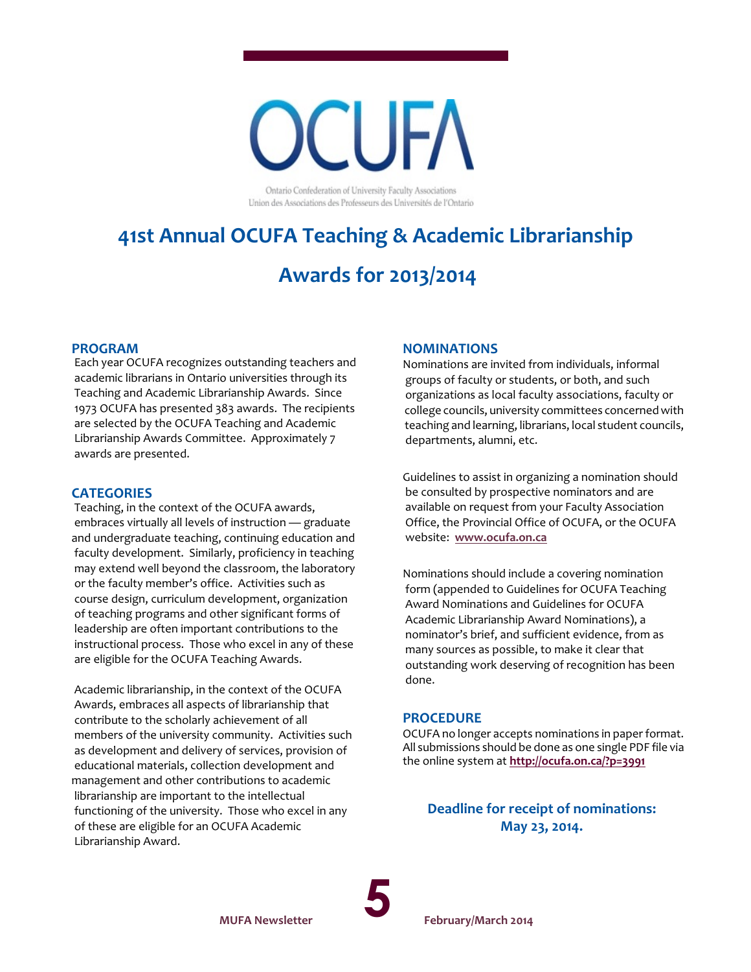

Ontario Confederation of University Faculty Associations Union des Associations des Professeurs des Universités de l'Ontario

# **41st Annual OCUFA Teaching & Academic Librarianship**

# **Awards for 2013/2014**

#### **PROGRAM**

 Each year OCUFA recognizes outstanding teachers and academic librarians in Ontario universities through its Teaching and Academic Librarianship Awards. Since 1973 OCUFA has presented 383 awards. The recipients are selected by the OCUFA Teaching and Academic Librarianship Awards Committee. Approximately 7 awards are presented.

#### **CATEGORIES**

 Teaching, in the context of the OCUFA awards, embraces virtually all levels of instruction — graduate and undergraduate teaching, continuing education and faculty development. Similarly, proficiency in teaching may extend well beyond the classroom, the laboratory or the faculty member's office. Activities such as course design, curriculum development, organization of teaching programs and other significant forms of leadership are often important contributions to the instructional process. Those who excel in any of these are eligible for the OCUFA Teaching Awards.

 Academic librarianship, in the context of the OCUFA Awards, embraces all aspects of librarianship that contribute to the scholarly achievement of all members of the university community. Activities such as development and delivery of services, provision of educational materials, collection development and management and other contributions to academic librarianship are important to the intellectual functioning of the university. Those who excel in any of these are eligible for an OCUFA Academic Librarianship Award.

#### **NOMINATIONS**

Nominations are invited from individuals, informal groups of faculty or students, or both, and such organizations as local faculty associations, faculty or college councils, university committees concerned with teaching and learning, librarians, local student councils, departments, alumni, etc.

Guidelines to assist in organizing a nomination should be consulted by prospective nominators and are available on request from your Faculty Association Office, the Provincial Office of OCUFA, or the OCUFA website: **[www.ocufa.on.ca](http://www.ocufa.on.ca)**

Nominations should include a covering nomination form (appended to Guidelines for OCUFA Teaching Award Nominations and Guidelines for OCUFA Academic Librarianship Award Nominations), a nominator's brief, and sufficient evidence, from as many sources as possible, to make it clear that outstanding work deserving of recognition has been done.

#### **PROCEDURE**

OCUFA no longer accepts nominations in paper format. All submissions should be done as one single PDF file via the online system at **<http://ocufa.on.ca/?p=3991>**

## **Deadline for receipt of nominations: May 23, 2014.**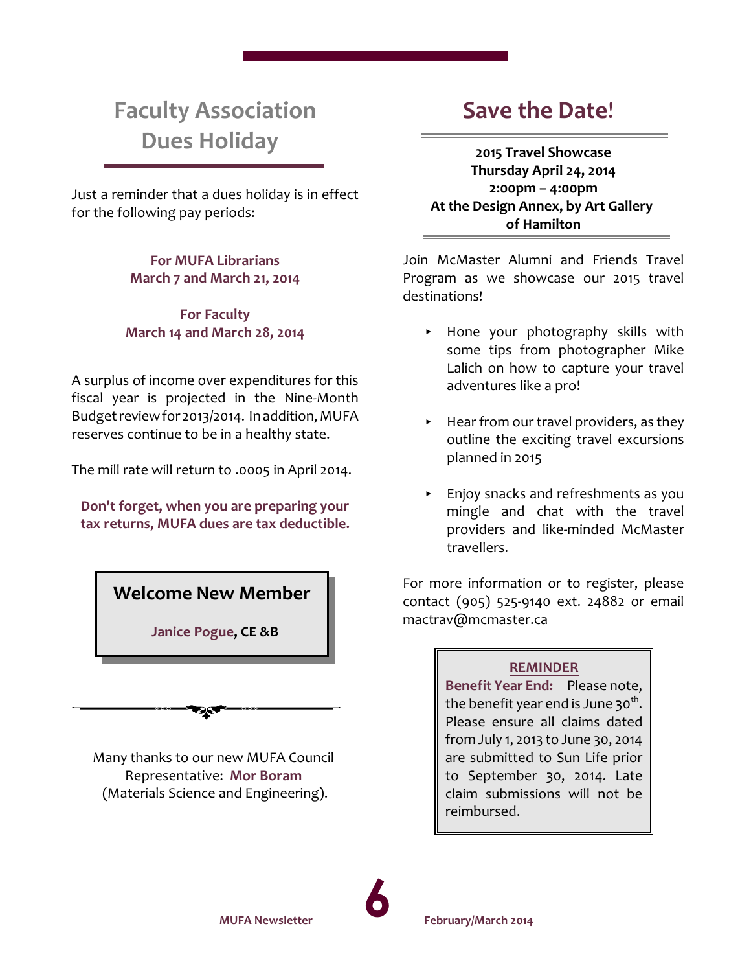# **Faculty Association Dues Holiday**

Just a reminder that a dues holiday is in effect for the following pay periods:

> **For MUFA Librarians March 7 and March 21, 2014**

**For Faculty March 14 and March 28, 2014**

A surplus of income over expenditures for this fiscal year is projected in the Nine-Month Budget reviewfor 2013/2014. In addition, MUFA reserves continue to be in a healthy state.

The mill rate will return to .0005 in April 2014.

**Don't forget, when you are preparing your tax returns, MUFA dues are tax deductible.**



 **Janice Pogue, CE &B**

Many thanks to our new MUFA Council Representative: **Mor Boram** (Materials Science and Engineering).

જસ

# **Save the Date**!

**2015 Travel Showcase Thursday April 24, 2014 2:00pm – 4:00pm At the Design Annex, by Art Gallery of Hamilton**

Join McMaster Alumni and Friends Travel Program as we showcase our 2015 travel destinations!

- < Hone your photography skills with some tips from photographer Mike Lalich on how to capture your travel adventures like a pro!
- $\blacktriangleright$  Hear from our travel providers, as they outline the exciting travel excursions planned in 2015
- **Enjoy snacks and refreshments as you** mingle and chat with the travel providers and like-minded McMaster travellers.

For more information or to register, please contact (905) 525-9140 ext. 24882 or email mactrav@mcmaster.ca

# **REMINDER**

**Benefit Year End:** Please note, the benefit year end is June 30<sup>th</sup>. Please ensure all claims dated from July 1, 2013 to June 30, 2014 are submitted to Sun Life prior to September 30, 2014. Late claim submissions will not be reimbursed.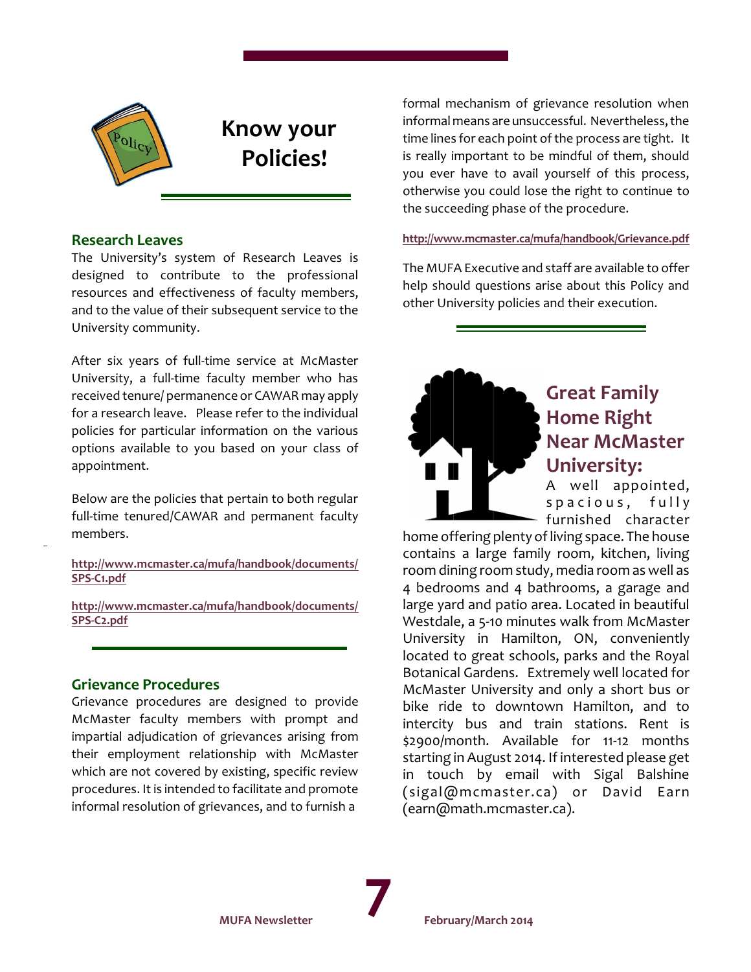

# **Know your Policies!**

#### **Research Leaves**

The University's system of Research Leaves is designed to contribute to the professional resources and effectiveness of faculty members, and to the value of their subsequent service to the University community.

After six years of full-time service at McMaster University, a full-time faculty member who has received tenure/ permanence or CAWAR may apply for a research leave. Please refer to the individual policies for particular information on the various options available to you based on your class of appointment.

Below are the policies that pertain to both regular full-time tenured/CAWAR and permanent faculty members.

**[http://www.mcmaster.ca/mufa/handbook/documents/](http://www.mcmaster.ca/mufa/handbook/documents/SPS-C1.pdf) [SPS-C1.pdf](http://www.mcmaster.ca/mufa/handbook/documents/SPS-C1.pdf)**

**[http://www.mcmaster.ca/mufa/handbook/documents/](http://www.mcmaster.ca/mufa/handbook/documents/SPS-C2.pdf) [SPS-C2.pdf](http://www.mcmaster.ca/mufa/handbook/documents/SPS-C2.pdf)**

### **Grievance Procedures**

Grievance procedures are designed to provide McMaster faculty members with prompt and impartial adjudication of grievances arising from their employment relationship with McMaster which are not covered by existing, specific review procedures. It is intended to facilitate and promote informal resolution of grievances, and to furnish a

formal mechanism of grievance resolution when informal means are unsuccessful. Nevertheless, the time lines for each point of the process are tight. It is really important to be mindful of them, should you ever have to avail yourself of this process, otherwise you could lose the right to continue to the succeeding phase of the procedure.

#### **<http://www.mcmaster.ca/mufa/handbook/Grievance.pdf>**

The MUFA Executive and staff are available to offer help should questions arise about this Policy and other University policies and their execution.



# **Great Family Home Right Near McMaster University:**

A well appointed, spacious, fully furnished character

home offering plenty of living space. The house contains a large family room, kitchen, living room dining room study, media room as well as 4 bedrooms and 4 bathrooms, a garage and large yard and patio area. Located in beautiful Westdale, a 5-10 minutes walk from McMaster University in Hamilton, ON, conveniently located to great schools, parks and the Royal Botanical Gardens. Extremely well located for McMaster University and only a short bus or bike ride to downtown Hamilton, and to intercity bus and train stations. Rent is \$2900/month. Available for 11-12 months starting in August 2014. If interested please get in touch by email with Sigal Balshine (sigal@mcmaster.ca) or David Earn (earn@math.mcmaster.ca).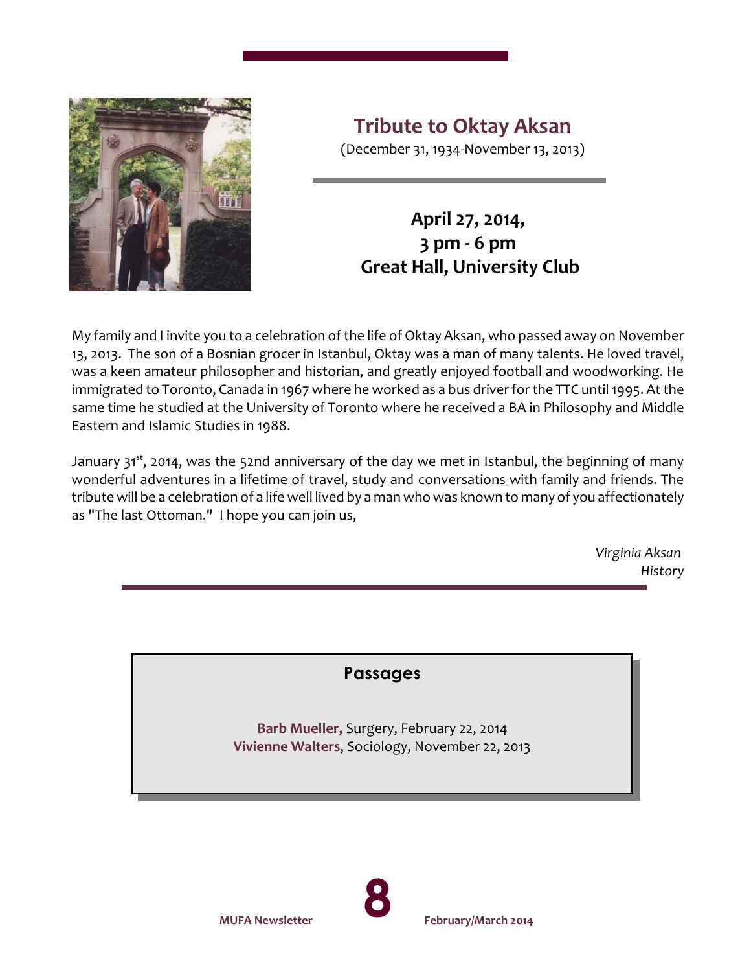

**Tribute to Oktay Aksan**

(December 31, 1934-November 13, 2013)

# **April 27, 2014, 3 pm - 6 pm Great Hall, University Club**

My family and I invite you to a celebration of the life of Oktay Aksan, who passed away on November 13, 2013. The son of a Bosnian grocer in Istanbul, Oktay was a man of many talents. He loved travel, was a keen amateur philosopher and historian, and greatly enjoyed football and woodworking. He immigrated to Toronto, Canada in 1967 where he worked as a bus driver for the TTC until 1995. At the same time he studied at the University of Toronto where he received a BA in Philosophy and Middle Eastern and Islamic Studies in 1988.

January 31<sup>st</sup>, 2014, was the 52nd anniversary of the day we met in Istanbul, the beginning of many wonderful adventures in a lifetime of travel, study and conversations with family and friends. The tribute will be a celebration of a life well lived by a man who was known to many of you affectionately as "The last Ottoman." I hope you can join us,

> *Virginia Aksan History*

**Passages**

**Barb Mueller,** Surgery, February 22, 2014 **Vivienne Walters**, Sociology, November 22, 2013